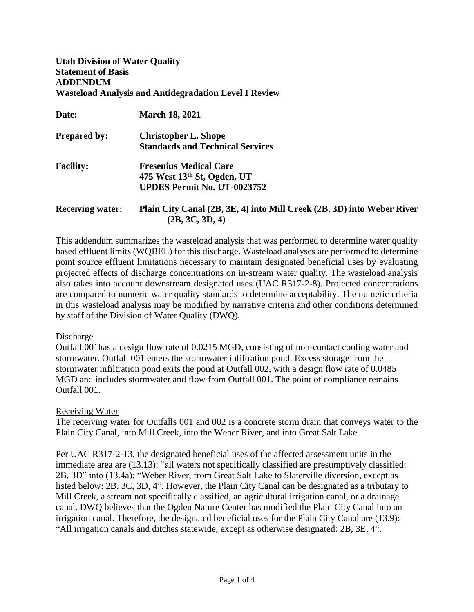**Utah Division of Water Quality Statement of Basis ADDENDUM Wasteload Analysis and Antidegradation Level I Review** 

| Date:                   | <b>March 18, 2021</b>                                                  |
|-------------------------|------------------------------------------------------------------------|
| <b>Prepared by:</b>     | <b>Christopher L. Shope</b>                                            |
|                         | <b>Standards and Technical Services</b>                                |
| <b>Facility:</b>        | <b>Fresenius Medical Care</b>                                          |
|                         | 475 West $13th$ St, Ogden, UT                                          |
|                         | <b>UPDES Permit No. UT-0023752</b>                                     |
| <b>Receiving water:</b> | Plain City Canal (2B, 3E, 4) into Mill Creek (2B, 3D) into Weber River |
|                         | (2B, 3C, 3D, 4)                                                        |

This addendum summarizes the wasteload analysis that was performed to determine water quality based effluent limits (WQBEL) for this discharge. Wasteload analyses are performed to determine point source effluent limitations necessary to maintain designated beneficial uses by evaluating projected effects of discharge concentrations on in-stream water quality. The wasteload analysis also takes into account downstream designated uses (UAC R317-2-8). Projected concentrations are compared to numeric water quality standards to determine acceptability. The numeric criteria in this wasteload analysis may be modified by narrative criteria and other conditions determined by staff of the Division of Water Quality (DWQ).

#### **Discharge**

Outfall 001has a design flow rate of 0.0215 MGD, consisting of non-contact cooling water and stormwater. Outfall 001 enters the stormwater infiltration pond. Excess storage from the stormwater infiltration pond exits the pond at Outfall 002, with a design flow rate of 0.0485 MGD and includes stormwater and flow from Outfall 001. The point of compliance remains Outfall 001.

#### Receiving Water

The receiving water for Outfalls 001 and 002 is a concrete storm drain that conveys water to the Plain City Canal, into Mill Creek, into the Weber River, and into Great Salt Lake

Per UAC R317-2-13, the designated beneficial uses of the affected assessment units in the immediate area are (13.13): "all waters not specifically classified are presumptively classified: 2B, 3D" into (13.4a): "Weber River, from Great Salt Lake to Slaterville diversion, except as listed below: 2B, 3C, 3D, 4". However, the Plain City Canal can be designated as a tributary to Mill Creek, a stream not specifically classified, an agricultural irrigation canal, or a drainage canal. DWQ believes that the Ogden Nature Center has modified the Plain City Canal into an irrigation canal. Therefore, the designated beneficial uses for the Plain City Canal are (13.9): "All irrigation canals and ditches statewide, except as otherwise designated: 2B, 3E, 4".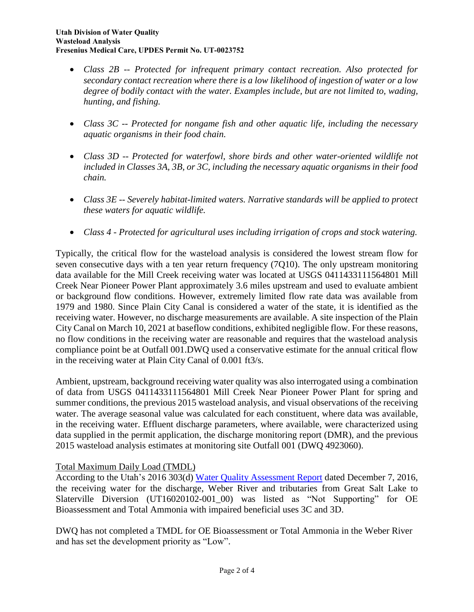- *Class 2B -- Protected for infrequent primary contact recreation. Also protected for secondary contact recreation where there is a low likelihood of ingestion of water or a low degree of bodily contact with the water. Examples include, but are not limited to, wading, hunting, and fishing.*
- *Class 3C -- Protected for nongame fish and other aquatic life, including the necessary aquatic organisms in their food chain.*
- *Class 3D -- Protected for waterfowl, shore birds and other water-oriented wildlife not included in Classes 3A, 3B, or 3C, including the necessary aquatic organisms in their food chain.*
- *Class 3E -- Severely habitat-limited waters. Narrative standards will be applied to protect these waters for aquatic wildlife.*
- *Class 4 - Protected for agricultural uses including irrigation of crops and stock watering.*

Typically, the critical flow for the wasteload analysis is considered the lowest stream flow for seven consecutive days with a ten year return frequency (7Q10). The only upstream monitoring data available for the Mill Creek receiving water was located at USGS 0411433111564801 Mill Creek Near Pioneer Power Plant approximately 3.6 miles upstream and used to evaluate ambient or background flow conditions. However, extremely limited flow rate data was available from 1979 and 1980. Since Plain City Canal is considered a water of the state, it is identified as the receiving water. However, no discharge measurements are available. A site inspection of the Plain City Canal on March 10, 2021 at baseflow conditions, exhibited negligible flow. For these reasons, no flow conditions in the receiving water are reasonable and requires that the wasteload analysis compliance point be at Outfall 001.DWQ used a conservative estimate for the annual critical flow in the receiving water at Plain City Canal of 0.001 ft3/s.

Ambient, upstream, background receiving water quality was also interrogated using a combination of data from USGS 0411433111564801 Mill Creek Near Pioneer Power Plant for spring and summer conditions, the previous 2015 wasteload analysis, and visual observations of the receiving water. The average seasonal value was calculated for each constituent, where data was available, in the receiving water. Effluent discharge parameters, where available, were characterized using data supplied in the permit application, the discharge monitoring report (DMR), and the previous 2015 wasteload analysis estimates at monitoring site Outfall 001 (DWQ 4923060).

# Total Maximum Daily Load (TMDL)

According to the Utah's 2016 303(d) [Water Quality Assessment Report](https://documents.deq.utah.gov/water-quality/monitoring-reporting/integrated-report/DWQ-2017-004941.pdf) dated December 7, 2016, the receiving water for the discharge, Weber River and tributaries from Great Salt Lake to Slaterville Diversion (UT16020102-001 00) was listed as "Not Supporting" for OE Bioassessment and Total Ammonia with impaired beneficial uses 3C and 3D.

DWQ has not completed a TMDL for OE Bioassessment or Total Ammonia in the Weber River and has set the development priority as "Low".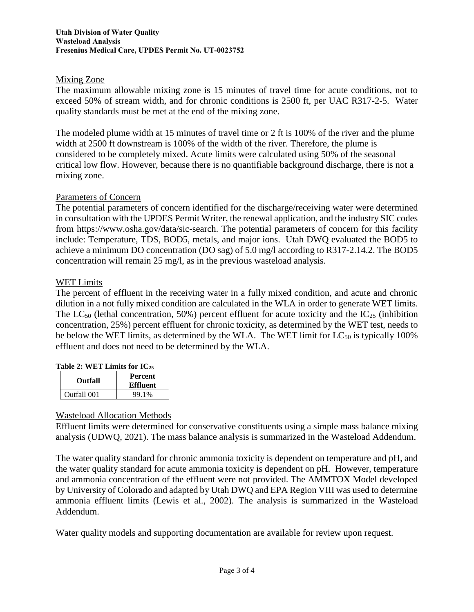### Mixing Zone

The maximum allowable mixing zone is 15 minutes of travel time for acute conditions, not to exceed 50% of stream width, and for chronic conditions is 2500 ft, per UAC R317-2-5. Water quality standards must be met at the end of the mixing zone.

The modeled plume width at 15 minutes of travel time or 2 ft is 100% of the river and the plume width at 2500 ft downstream is 100% of the width of the river. Therefore, the plume is considered to be completely mixed. Acute limits were calculated using 50% of the seasonal critical low flow. However, because there is no quantifiable background discharge, there is not a mixing zone.

## Parameters of Concern

The potential parameters of concern identified for the discharge/receiving water were determined in consultation with the UPDES Permit Writer, the renewal application, and the industry SIC codes from https://www.osha.gov/data/sic-search. The potential parameters of concern for this facility include: Temperature, TDS, BOD5, metals, and major ions. Utah DWQ evaluated the BOD5 to achieve a minimum DO concentration (DO sag) of 5.0 mg/l according to R317-2.14.2. The BOD5 concentration will remain 25 mg/l, as in the previous wasteload analysis.

## WET Limits

The percent of effluent in the receiving water in a fully mixed condition, and acute and chronic dilution in a not fully mixed condition are calculated in the WLA in order to generate WET limits. The LC<sub>50</sub> (lethal concentration, 50%) percent effluent for acute toxicity and the IC<sub>25</sub> (inhibition concentration, 25%) percent effluent for chronic toxicity, as determined by the WET test, needs to be below the WET limits, as determined by the WLA. The WET limit for  $LC_{50}$  is typically 100% effluent and does not need to be determined by the WLA.

### **Table 2: WET Limits for IC<sup>25</sup>**

| <b>Outfall</b> | <b>Percent</b><br>Effluent |
|----------------|----------------------------|
| Outfall 001    | 99.1%                      |

### Wasteload Allocation Methods

Effluent limits were determined for conservative constituents using a simple mass balance mixing analysis (UDWQ, 2021). The mass balance analysis is summarized in the Wasteload Addendum.

The water quality standard for chronic ammonia toxicity is dependent on temperature and pH, and the water quality standard for acute ammonia toxicity is dependent on pH. However, temperature and ammonia concentration of the effluent were not provided. The AMMTOX Model developed by University of Colorado and adapted by Utah DWQ and EPA Region VIII was used to determine ammonia effluent limits (Lewis et al., 2002). The analysis is summarized in the Wasteload Addendum.

Water quality models and supporting documentation are available for review upon request.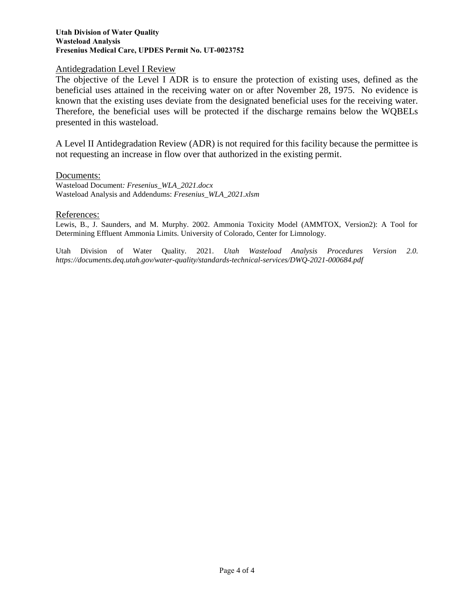#### **Utah Division of Water Quality Wasteload Analysis Fresenius Medical Care, UPDES Permit No. UT-0023752**

#### Antidegradation Level I Review

The objective of the Level I ADR is to ensure the protection of existing uses, defined as the beneficial uses attained in the receiving water on or after November 28, 1975. No evidence is known that the existing uses deviate from the designated beneficial uses for the receiving water. Therefore, the beneficial uses will be protected if the discharge remains below the WQBELs presented in this wasteload.

A Level II Antidegradation Review (ADR) is not required for this facility because the permittee is not requesting an increase in flow over that authorized in the existing permit.

#### Documents:

Wasteload Document*: Fresenius\_WLA\_2021.docx* Wasteload Analysis and Addendums: *Fresenius\_WLA\_2021.xlsm*

#### References:

Lewis, B., J. Saunders, and M. Murphy. 2002. Ammonia Toxicity Model (AMMTOX, Version2): A Tool for Determining Effluent Ammonia Limits. University of Colorado, Center for Limnology.

Utah Division of Water Quality. 2021. *Utah Wasteload Analysis Procedures Version 2.0*. *https://documents.deq.utah.gov/water-quality/standards-technical-services/DWQ-2021-000684.pdf*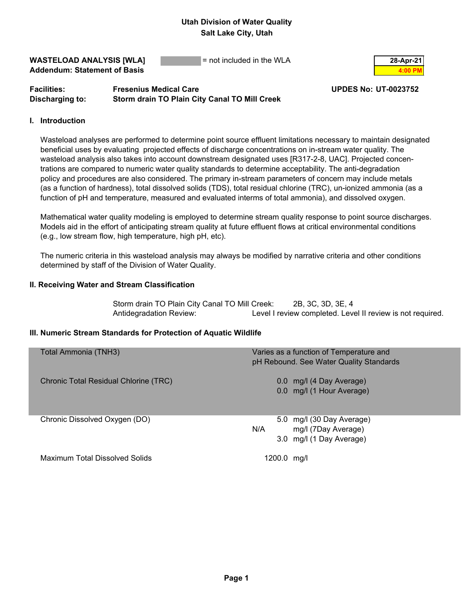**WASTELOAD ANALYSIS [WLA]**  $=$  not included in the WLA  $\qquad \qquad$  28-Apr-21 **Addendum: Statement of Basis 4:00 PM 4:00 PM** 

## **Facilities: Fresenius Medical Care UPDES No: UT-0023752 Discharging to: Storm drain TO Plain City Canal TO Mill Creek**

#### **I. Introduction**

 Wasteload analyses are performed to determine point source effluent limitations necessary to maintain designated beneficial uses by evaluating projected effects of discharge concentrations on in-stream water quality. The wasteload analysis also takes into account downstream designated uses [R317-2-8, UAC]. Projected concen trations are compared to numeric water quality standards to determine acceptability. The anti-degradation policy and procedures are also considered. The primary in-stream parameters of concern may include metals (as a function of hardness), total dissolved solids (TDS), total residual chlorine (TRC), un-ionized ammonia (as a function of pH and temperature, measured and evaluated interms of total ammonia), and dissolved oxygen.

 Mathematical water quality modeling is employed to determine stream quality response to point source discharges. Models aid in the effort of anticipating stream quality at future effluent flows at critical environmental conditions (e.g., low stream flow, high temperature, high pH, etc).

 The numeric criteria in this wasteload analysis may always be modified by narrative criteria and other conditions determined by staff of the Division of Water Quality.

#### **II. Receiving Water and Stream Classification**

Storm drain TO Plain City Canal TO Mill Creek: 2B, 3C, 3D, 3E, 4 Antidegradation Review: Level I review completed. Level II review is not required.

#### **III. Numeric Stream Standards for Protection of Aquatic Wildlife**

| Total Ammonia (TNH3)                  | Varies as a function of Temperature and<br>pH Rebound. See Water Quality Standards  |
|---------------------------------------|-------------------------------------------------------------------------------------|
| Chronic Total Residual Chlorine (TRC) | 0.0 mg/l (4 Day Average)<br>0.0 mg/l (1 Hour Average)                               |
| Chronic Dissolved Oxygen (DO)         | 5.0 mg/l (30 Day Average)<br>N/A<br>mg/l (7Day Average)<br>3.0 mg/l (1 Day Average) |
| Maximum Total Dissolved Solids        | 1200.0 mg/l                                                                         |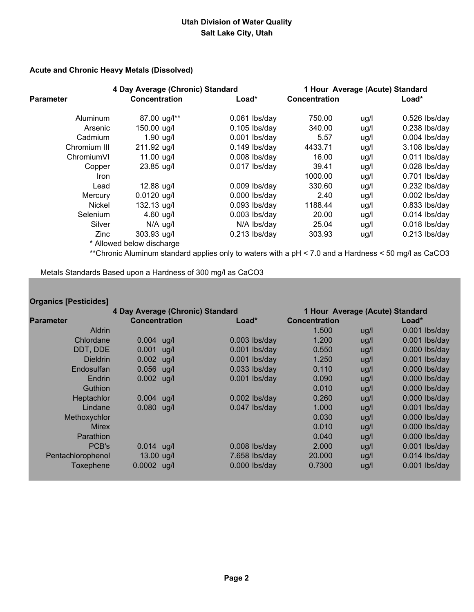#### **Acute and Chronic Heavy Metals (Dissolved)**

|                  | 4 Day Average (Chronic) Standard |                 | 1 Hour Average (Acute) Standard |      |                 |
|------------------|----------------------------------|-----------------|---------------------------------|------|-----------------|
| <b>Parameter</b> | <b>Concentration</b>             | $Load*$         | <b>Concentration</b>            |      | $Load*$         |
| Aluminum         | 87.00 ug/l**                     | $0.061$ lbs/day | 750.00                          | ug/l | $0.526$ lbs/day |
| Arsenic          | 150.00 ug/l                      | $0.105$ lbs/day | 340.00                          | ug/l | $0.238$ lbs/day |
| Cadmium          | $1.90$ ug/l                      | $0.001$ lbs/day | 5.57                            | ug/l | $0.004$ lbs/day |
| Chromium III     | 211.92 ug/l                      | $0.149$ lbs/day | 4433.71                         | ug/l | 3.108 lbs/day   |
| ChromiumVI       | 11.00 ug/l                       | $0.008$ lbs/day | 16.00                           | ug/l | $0.011$ lbs/day |
| Copper           | 23.85 ug/l                       | $0.017$ lbs/day | 39.41                           | ug/l | $0.028$ lbs/day |
| Iron             |                                  |                 | 1000.00                         | ug/l | 0.701 lbs/day   |
| Lead             | 12.88 ug/l                       | $0.009$ lbs/day | 330.60                          | ug/l | $0.232$ lbs/day |
| Mercury          | $0.0120$ ug/l                    | $0.000$ lbs/day | 2.40                            | ug/l | $0.002$ lbs/day |
| Nickel           | 132.13 ug/l                      | $0.093$ lbs/day | 1188.44                         | ug/l | $0.833$ lbs/day |
| Selenium         | 4.60 $\mu$ g/l                   | $0.003$ lbs/day | 20.00                           | ug/l | $0.014$ lbs/day |
| Silver           | $N/A$ ug/l                       | N/A lbs/day     | 25.04                           | ug/l | $0.018$ lbs/day |
| Zinc             | 303.93 ug/l                      | $0.213$ lbs/day | 303.93                          | ug/l | $0.213$ lbs/day |
|                  | * Allowed below discharge        |                 |                                 |      |                 |

\*\*Chronic Aluminum standard applies only to waters with a pH < 7.0 and a Hardness < 50 mg/l as CaCO3

Metals Standards Based upon a Hardness of 300 mg/l as CaCO3

## **Organics [Pesticides]**

| 4 Day Average (Chronic) Standard |                      |  |                 |                      |        | 1 Hour Average (Acute) Standard |         |                 |
|----------------------------------|----------------------|--|-----------------|----------------------|--------|---------------------------------|---------|-----------------|
| <b>Parameter</b>                 | <b>Concentration</b> |  | $Load*$         | <b>Concentration</b> |        |                                 | $Load*$ |                 |
| Aldrin                           |                      |  |                 |                      | 1.500  | ug/l                            |         | 0.001 lbs/day   |
| Chlordane                        | $0.004$ ug/l         |  | $0.003$ lbs/day |                      | 1.200  | ug/l                            |         | $0.001$ lbs/day |
| DDT, DDE                         | $0.001$ ug/l         |  | $0.001$ lbs/day |                      | 0.550  | ug/l                            |         | 0.000 lbs/day   |
| <b>Dieldrin</b>                  | $0.002$ ug/l         |  | $0.001$ lbs/day |                      | 1.250  | ug/l                            |         | $0.001$ lbs/day |
| Endosulfan                       | $0.056$ ug/l         |  | $0.033$ lbs/day |                      | 0.110  | ug/l                            |         | $0.000$ lbs/day |
| Endrin                           | $0.002$ ug/l         |  | $0.001$ lbs/day |                      | 0.090  | ug/l                            |         | $0.000$ lbs/day |
| <b>Guthion</b>                   |                      |  |                 |                      | 0.010  | ug/l                            |         | $0.000$ lbs/day |
| Heptachlor                       | $0.004$ ug/l         |  | $0.002$ lbs/day |                      | 0.260  | ug/l                            |         | $0.000$ lbs/day |
| Lindane                          | $0.080$ ug/l         |  | $0.047$ lbs/day |                      | 1.000  | ug/l                            |         | $0.001$ lbs/day |
| Methoxychlor                     |                      |  |                 |                      | 0.030  | ug/l                            |         | 0.000 lbs/day   |
| <b>Mirex</b>                     |                      |  |                 |                      | 0.010  | ug/l                            |         | $0.000$ lbs/day |
| Parathion                        |                      |  |                 |                      | 0.040  | ug/l                            |         | $0.000$ lbs/day |
| PCB's                            | $0.014$ ug/l         |  | $0.008$ lbs/day |                      | 2.000  | ug/l                            |         | $0.001$ lbs/day |
| Pentachlorophenol                | 13.00 ug/l           |  | 7.658 lbs/day   |                      | 20,000 | ug/l                            |         | $0.014$ lbs/day |
| Toxephene                        | $0.0002$ ug/l        |  | $0.000$ lbs/day |                      | 0.7300 | ug/l                            |         | $0.001$ lbs/day |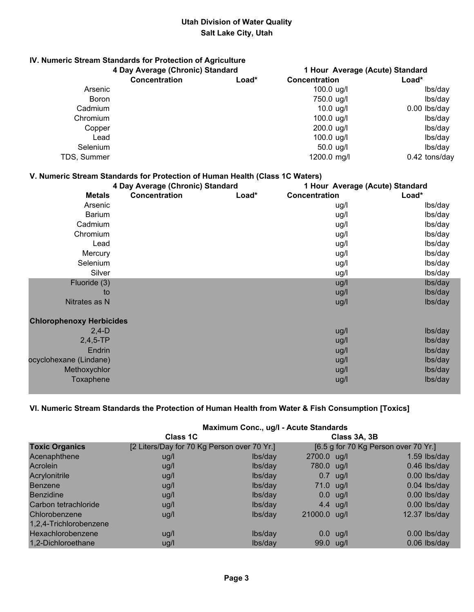# **IV. Numeric Stream Standards for Protection of Agriculture**

|              | 4 Day Average (Chronic) Standard |       |                      | 1 Hour Average (Acute) Standard |
|--------------|----------------------------------|-------|----------------------|---------------------------------|
|              | <b>Concentration</b>             | Load* | Concentration        | Load*                           |
| Arsenic      |                                  |       | $100.0 \text{ u}g/l$ | lbs/day                         |
| <b>Boron</b> |                                  |       | 750.0 ug/l           | lbs/day                         |
| Cadmium      |                                  |       | $10.0$ ug/l          | $0.00$ lbs/day                  |
| Chromium     |                                  |       | $100.0$ ug/l         | lbs/day                         |
| Copper       |                                  |       | $200.0$ ug/l         | lbs/day                         |
| Lead         |                                  |       | 100.0 $\mu$ g/l      | lbs/day                         |
| Selenium     |                                  |       | $50.0$ ug/l          | lbs/day                         |
| TDS, Summer  |                                  |       | 1200.0 mg/l          | $0.42$ tons/day                 |

## **V. Numeric Stream Standards for Protection of Human Health (Class 1C Waters)**

| 4 Day Average (Chronic) Standard |               |       | 1 Hour Average (Acute) Standard |         |  |
|----------------------------------|---------------|-------|---------------------------------|---------|--|
| <b>Metals</b>                    | Concentration | Load* | Concentration                   | Load*   |  |
| Arsenic                          |               |       | ug/l                            | lbs/day |  |
| <b>Barium</b>                    |               |       | ug/l                            | lbs/day |  |
| Cadmium                          |               |       | ug/l                            | lbs/day |  |
| Chromium                         |               |       | ug/l                            | lbs/day |  |
| Lead                             |               |       | ug/l                            | lbs/day |  |
| Mercury                          |               |       | ug/l                            | lbs/day |  |
| Selenium                         |               |       | ug/l                            | lbs/day |  |
| Silver                           |               |       | ug/l                            | lbs/day |  |
| Fluoride (3)                     |               |       | ug/l                            | lbs/day |  |
| to                               |               |       | ug/l                            | lbs/day |  |
| Nitrates as N                    |               |       | ug/l                            | lbs/day |  |
| <b>Chlorophenoxy Herbicides</b>  |               |       |                                 |         |  |
| $2,4-D$                          |               |       | ug/l                            | lbs/day |  |
| $2,4,5$ -TP                      |               |       | ug/l                            | lbs/day |  |
| Endrin                           |               |       | ug/l                            | lbs/day |  |
| ocyclohexane (Lindane)           |               |       | ug/l                            | lbs/day |  |
| Methoxychlor                     |               |       | ug/l                            | lbs/day |  |
| <b>Toxaphene</b>                 |               |       | ug/l                            | lbs/day |  |

## **VI. Numeric Stream Standards the Protection of Human Health from Water & Fish Consumption [Toxics]**

|                        | Maximum Conc., ug/l - Acute Standards       |         |              |               |                                      |
|------------------------|---------------------------------------------|---------|--------------|---------------|--------------------------------------|
|                        | <b>Class 1C</b>                             |         |              | Class 3A, 3B  |                                      |
| <b>Toxic Organics</b>  | [2 Liters/Day for 70 Kg Person over 70 Yr.] |         |              |               | [6.5 g for 70 Kg Person over 70 Yr.] |
| Acenaphthene           | ug/l                                        | lbs/day | 2700.0 ug/l  |               | $1.59$ lbs/day                       |
| Acrolein               | ug/l                                        | lbs/day | 780.0 ug/l   |               | $0.46$ lbs/day                       |
| Acrylonitrile          | ug/l                                        | lbs/day |              | $0.7$ ug/l    | $0.00$ lbs/day                       |
| <b>Benzene</b>         | ug/l                                        | lbs/day | $71.0$ ug/l  |               | $0.04$ lbs/day                       |
| <b>Benzidine</b>       | ug/l                                        | lbs/day |              | $0.0$ ug/l    | $0.00$ lbs/day                       |
| Carbon tetrachloride   | ug/l                                        | lbs/day |              | 4.4 $\mu$ g/l | 0.00 lbs/day                         |
| Chlorobenzene          | ug/l                                        | lbs/day | 21000.0 ug/l |               | 12.37 lbs/day                        |
| 1,2,4-Trichlorobenzene |                                             |         |              |               |                                      |
| Hexachlorobenzene      | ug/l                                        | lbs/day |              | $0.0$ ug/l    | $0.00$ lbs/day                       |
| 1,2-Dichloroethane     | ug/l                                        | lbs/day | 99.0 ug/l    |               | $0.06$ lbs/day                       |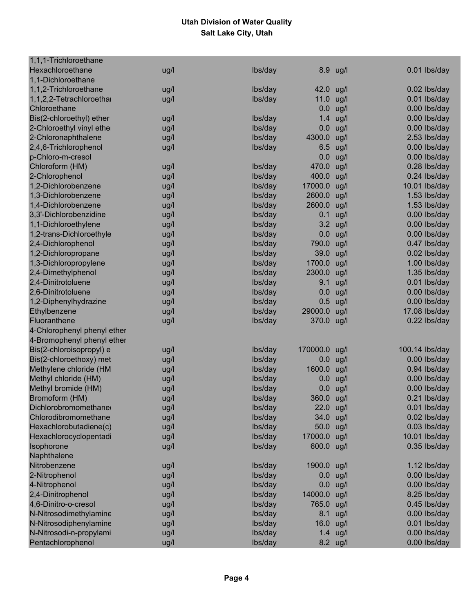| 1,1,1-Trichloroethane                    |      |         |            |          |                |
|------------------------------------------|------|---------|------------|----------|----------------|
| Hexachloroethane                         | ug/l | lbs/day |            | 8.9 ug/l | 0.01 lbs/day   |
| 1,1-Dichloroethane                       |      |         |            |          |                |
| 1,1,2-Trichloroethane                    | ug/l | lbs/day | 42.0 ug/l  |          | 0.02 lbs/day   |
| 1,1,2,2-Tetrachloroethar                 | ug/l | lbs/day | 11.0       | ug/l     | 0.01 lbs/day   |
| Chloroethane                             |      |         | 0.0        | ug/l     | 0.00 lbs/day   |
| Bis(2-chloroethyl) ether                 | ug/l | lbs/day | 1.4        | ug/l     | 0.00 lbs/day   |
| 2-Chloroethyl vinyl ether                | ug/l | lbs/day | 0.0        | ug/l     | 0.00 lbs/day   |
| 2-Chloronaphthalene                      | ug/l | lbs/day | 4300.0     | ug/l     | 2.53 lbs/day   |
| 2,4,6-Trichlorophenol                    | ug/l | lbs/day | 6.5        | ug/l     | 0.00 lbs/day   |
| p-Chloro-m-cresol                        |      |         | 0.0        | ug/l     | 0.00 lbs/day   |
| Chloroform (HM)                          | ug/l | lbs/day | 470.0      | ug/l     | 0.28 lbs/day   |
| 2-Chlorophenol                           | ug/l | lbs/day | 400.0      | ug/l     | 0.24 lbs/day   |
| 1,2-Dichlorobenzene                      | ug/l | lbs/day | 17000.0    | ug/l     | 10.01 lbs/day  |
| 1,3-Dichlorobenzene                      | ug/l | lbs/day | 2600.0     | ug/l     | 1.53 lbs/day   |
| 1,4-Dichlorobenzene                      | ug/l | lbs/day | 2600.0     | ug/l     | 1.53 lbs/day   |
| 3,3'-Dichlorobenzidine                   | ug/l | lbs/day | 0.1        | ug/l     | 0.00 lbs/day   |
| 1,1-Dichloroethylene                     | ug/l | lbs/day | 3.2        | ug/l     | 0.00 lbs/day   |
| 1,2-trans-Dichloroethyle                 | ug/l | lbs/day | 0.0        | ug/l     | 0.00 lbs/day   |
| 2,4-Dichlorophenol                       | ug/l | lbs/day | 790.0      | ug/l     | 0.47 lbs/day   |
| 1,2-Dichloropropane                      |      | lbs/day | 39.0       | ug/l     | 0.02 lbs/day   |
| 1,3-Dichloropropylene                    | ug/l | lbs/day | 1700.0     | ug/l     | 1.00 lbs/day   |
|                                          | ug/l |         | 2300.0     |          | 1.35 lbs/day   |
| 2,4-Dimethylphenol<br>2,4-Dinitrotoluene | ug/l | lbs/day | 9.1        | ug/l     |                |
|                                          | ug/l | lbs/day |            | ug/l     | 0.01 lbs/day   |
| 2,6-Dinitrotoluene                       | ug/l | lbs/day | 0.0        | ug/l     | 0.00 lbs/day   |
| 1,2-Diphenylhydrazine                    | ug/l | lbs/day | 0.5        | ug/l     | 0.00 lbs/day   |
| Ethylbenzene                             | ug/l | lbs/day | 29000.0    | ug/l     | 17.08 lbs/day  |
| Fluoranthene                             | ug/l | lbs/day | 370.0 ug/l |          | 0.22 lbs/day   |
| 4-Chlorophenyl phenyl ether              |      |         |            |          |                |
| 4-Bromophenyl phenyl ether               |      |         |            |          |                |
| Bis(2-chloroisopropyl) e                 | ug/l | lbs/day | 170000.0   | ug/l     | 100.14 lbs/day |
| Bis(2-chloroethoxy) met                  | ug/l | lbs/day | 0.0        | ug/l     | 0.00 lbs/day   |
| Methylene chloride (HM                   | ug/l | lbs/day | 1600.0     | ug/l     | 0.94 lbs/day   |
| Methyl chloride (HM)                     | ug/l | lbs/day | 0.0        | ug/l     | 0.00 lbs/day   |
| Methyl bromide (HM)                      | ug/l | lbs/day | 0.0        | ug/l     | 0.00 lbs/day   |
| Bromoform (HM)                           | ug/l | lbs/day | 360.0      | ug/l     | 0.21 lbs/day   |
| Dichlorobromomethane(                    | ug/l | lbs/day | 22.0 ug/l  |          | 0.01 lbs/day   |
| Chlorodibromomethane                     | ug/l | lbs/day | 34.0       | ug/l     | 0.02 lbs/day   |
| Hexachlorobutadiene(c)                   | ug/l | lbs/day | 50.0       | ug/l     | 0.03 lbs/day   |
| Hexachlorocyclopentadi                   | ug/l | lbs/day | 17000.0    | ug/l     | 10.01 lbs/day  |
| Isophorone                               | ug/l | lbs/day | 600.0 ug/l |          | 0.35 lbs/day   |
| Naphthalene                              |      |         |            |          |                |
| Nitrobenzene                             | ug/l | lbs/day | 1900.0     | ug/l     | 1.12 lbs/day   |
| 2-Nitrophenol                            | ug/l | lbs/day | 0.0        | ug/l     | 0.00 lbs/day   |
| 4-Nitrophenol                            | ug/l | lbs/day | 0.0        | ug/l     | 0.00 lbs/day   |
| 2,4-Dinitrophenol                        | ug/l | lbs/day | 14000.0    | ug/l     | 8.25 lbs/day   |
| 4,6-Dinitro-o-cresol                     | ug/l | lbs/day | 765.0      | ug/l     | 0.45 lbs/day   |
| N-Nitrosodimethylamine                   | ug/l | lbs/day | 8.1        | ug/l     | 0.00 lbs/day   |
| N-Nitrosodiphenylamine                   | ug/l | lbs/day | 16.0       | ug/l     | 0.01 lbs/day   |
| N-Nitrosodi-n-propylami                  | ug/l | lbs/day | 1.4        | ug/l     | 0.00 lbs/day   |
| Pentachlorophenol                        | ug/l | lbs/day |            | 8.2 ug/l | 0.00 lbs/day   |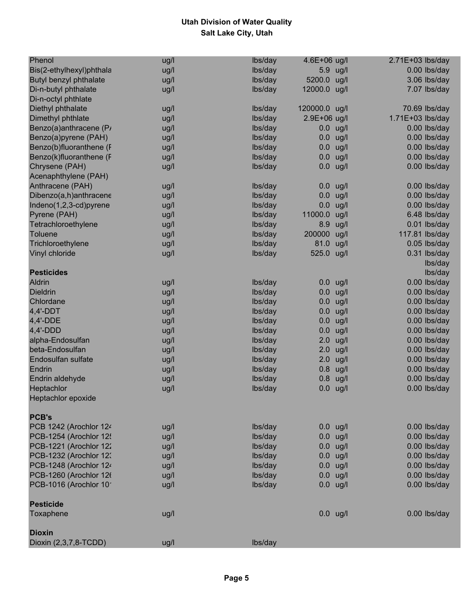| Phenol                    | ug/l | lbs/day | 4.6E+06 ug/l  |            | $2.71E+03$ lbs/day |
|---------------------------|------|---------|---------------|------------|--------------------|
| Bis(2-ethylhexyl)phthala  | ug/l | lbs/day | 5.9           | ug/l       | 0.00 lbs/day       |
| Butyl benzyl phthalate    | ug/l | lbs/day | 5200.0        | ug/l       | 3.06 lbs/day       |
| Di-n-butyl phthalate      | ug/l | Ibs/day | 12000.0 ug/l  |            | 7.07 lbs/day       |
| Di-n-octyl phthlate       |      |         |               |            |                    |
| Diethyl phthalate         | ug/l | lbs/day | 120000.0 ug/l |            | 70.69 lbs/day      |
| Dimethyl phthlate         | ug/l | lbs/day | 2.9E+06 ug/l  |            | 1.71E+03 lbs/day   |
| Benzo(a)anthracene (P)    | ug/l | lbs/day |               | $0.0$ ug/l | 0.00 lbs/day       |
| Benzo(a)pyrene (PAH)      | ug/l | lbs/day | 0.0           | ug/l       | 0.00 lbs/day       |
| Benzo(b)fluoranthene (F   | ug/l | lbs/day | 0.0           | ug/l       | 0.00 lbs/day       |
| Benzo(k)fluoranthene (F   | ug/l | lbs/day | 0.0           | ug/l       | $0.00$ lbs/day     |
| Chrysene (PAH)            | ug/l | lbs/day | 0.0           | ug/l       | 0.00 lbs/day       |
| Acenaphthylene (PAH)      |      |         |               |            |                    |
| Anthracene (PAH)          | ug/l | lbs/day | 0.0           | ug/l       | 0.00 lbs/day       |
| Dibenzo(a,h)anthracene    | ug/l | lbs/day | 0.0           | ug/l       | $0.00$ lbs/day     |
| Indeno(1,2,3-cd)pyrene    |      | lbs/day | 0.0           |            | 0.00 lbs/day       |
|                           | ug/l | lbs/day | 11000.0       | ug/l       |                    |
| Pyrene (PAH)              | ug/l |         |               | ug/l       | 6.48 lbs/day       |
| Tetrachloroethylene       | ug/l | lbs/day | 8.9           | ug/l       | 0.01 lbs/day       |
| <b>Toluene</b>            | ug/l | lbs/day | 200000        | ug/l       | 117.81 lbs/day     |
| Trichloroethylene         | ug/l | lbs/day | 81.0          | ug/l       | $0.05$ lbs/day     |
| Vinyl chloride            | ug/l | lbs/day | 525.0 ug/l    |            | $0.31$ lbs/day     |
|                           |      |         |               |            | lbs/day            |
| <b>Pesticides</b>         |      |         |               |            | lbs/day            |
| <b>Aldrin</b>             | ug/l | lbs/day |               | $0.0$ ug/l | 0.00 lbs/day       |
| <b>Dieldrin</b>           | ug/l | lbs/day | 0.0           | ug/l       | 0.00 lbs/day       |
| Chlordane                 | ug/l | lbs/day | 0.0           | ug/l       | 0.00 lbs/day       |
| $4,4'$ -DDT               | ug/l | lbs/day | 0.0           | ug/l       | 0.00 lbs/day       |
| 4,4'-DDE                  | ug/l | lbs/day | 0.0           | ug/l       | $0.00$ lbs/day     |
| $4,4'$ -DDD               | ug/l | lbs/day | 0.0           | ug/l       | $0.00$ lbs/day     |
| alpha-Endosulfan          | ug/l | lbs/day | 2.0           | ug/l       | 0.00 lbs/day       |
| beta-Endosulfan           | ug/l | lbs/day | 2.0           | ug/l       | 0.00 lbs/day       |
| <b>Endosulfan sulfate</b> | ug/l | lbs/day | 2.0           | ug/l       | $0.00$ lbs/day     |
| Endrin                    | ug/l | lbs/day | 0.8           | ug/l       | 0.00 lbs/day       |
| Endrin aldehyde           | ug/l | lbs/day | 0.8           | ug/l       | 0.00 lbs/day       |
| Heptachlor                | ug/l | lbs/day | 0.0           | ug/l       | $0.00$ lbs/day     |
| Heptachlor epoxide        |      |         |               |            |                    |
| <b>PCB's</b>              |      |         |               |            |                    |
| PCB 1242 (Arochlor 124    | ug/l | lbs/day |               | $0.0$ ug/l | 0.00 lbs/day       |
| PCB-1254 (Arochlor 125    | ug/l | lbs/day |               | $0.0$ ug/l | 0.00 lbs/day       |
| PCB-1221 (Arochlor 122    | ug/l | lbs/day |               | $0.0$ ug/l | 0.00 lbs/day       |
| PCB-1232 (Arochlor 123    | ug/l | lbs/day |               | $0.0$ ug/l | 0.00 lbs/day       |
| PCB-1248 (Arochlor 124    | ug/l | Ibs/day |               | $0.0$ ug/l | 0.00 lbs/day       |
| PCB-1260 (Arochlor 126    | ug/l | lbs/day |               | $0.0$ ug/l | 0.00 lbs/day       |
| PCB-1016 (Arochlor 10     | ug/l | lbs/day |               | $0.0$ ug/l | 0.00 lbs/day       |
| <b>Pesticide</b>          |      |         |               |            |                    |
| Toxaphene                 | ug/l |         |               | $0.0$ ug/l | 0.00 lbs/day       |
| <b>Dioxin</b>             |      |         |               |            |                    |
| Dioxin (2,3,7,8-TCDD)     | ug/l | lbs/day |               |            |                    |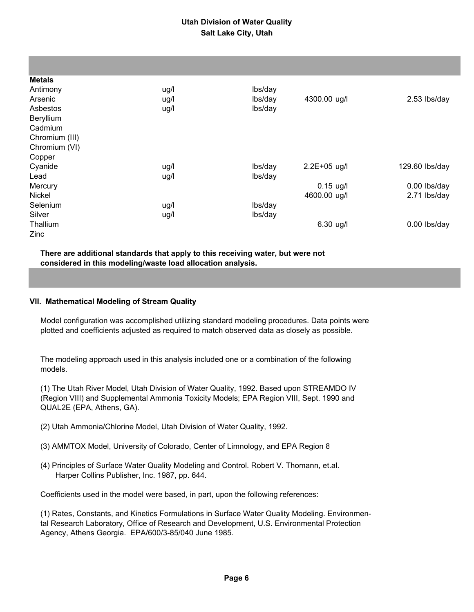| <b>Metals</b>  |      |         |              |                |
|----------------|------|---------|--------------|----------------|
| Antimony       | ug/l | lbs/day |              |                |
| Arsenic        | ug/l | lbs/day | 4300.00 ug/l | 2.53 lbs/day   |
| Asbestos       | ug/l | lbs/day |              |                |
| Beryllium      |      |         |              |                |
| Cadmium        |      |         |              |                |
| Chromium (III) |      |         |              |                |
| Chromium (VI)  |      |         |              |                |
| Copper         |      |         |              |                |
| Cyanide        | ug/l | lbs/day | 2.2E+05 ug/l | 129.60 lbs/day |
| Lead           | ug/l | lbs/day |              |                |
| Mercury        |      |         | $0.15$ ug/l  | 0.00 lbs/day   |
| Nickel         |      |         | 4600.00 ug/l | 2.71 lbs/day   |
| Selenium       | ug/l | lbs/day |              |                |
| Silver         | ug/l | lbs/day |              |                |
| Thallium       |      |         | $6.30$ ug/l  | 0.00 lbs/day   |
| <b>Zinc</b>    |      |         |              |                |

#### **There are additional standards that apply to this receiving water, but were not considered in this modeling/waste load allocation analysis.**

#### **VII. Mathematical Modeling of Stream Quality**

 Model configuration was accomplished utilizing standard modeling procedures. Data points were plotted and coefficients adjusted as required to match observed data as closely as possible.

 The modeling approach used in this analysis included one or a combination of the following models.

 (1) The Utah River Model, Utah Division of Water Quality, 1992. Based upon STREAMDO IV (Region VIII) and Supplemental Ammonia Toxicity Models; EPA Region VIII, Sept. 1990 and QUAL2E (EPA, Athens, GA).

- (2) Utah Ammonia/Chlorine Model, Utah Division of Water Quality, 1992.
- (3) AMMTOX Model, University of Colorado, Center of Limnology, and EPA Region 8
- (4) Principles of Surface Water Quality Modeling and Control. Robert V. Thomann, et.al. Harper Collins Publisher, Inc. 1987, pp. 644.

Coefficients used in the model were based, in part, upon the following references:

 (1) Rates, Constants, and Kinetics Formulations in Surface Water Quality Modeling. Environmen tal Research Laboratory, Office of Research and Development, U.S. Environmental Protection Agency, Athens Georgia. EPA/600/3-85/040 June 1985.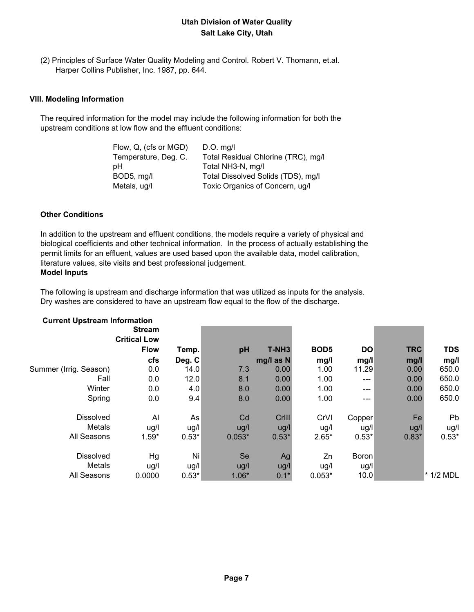(2) Principles of Surface Water Quality Modeling and Control. Robert V. Thomann, et.al. Harper Collins Publisher, Inc. 1987, pp. 644.

#### **VIII. Modeling Information**

 The required information for the model may include the following information for both the upstream conditions at low flow and the effluent conditions:

| $D.O.$ mg/l                         |
|-------------------------------------|
| Total Residual Chlorine (TRC), mg/l |
| Total NH3-N, mg/l                   |
| Total Dissolved Solids (TDS), mg/l  |
| Toxic Organics of Concern, ug/l     |
|                                     |

#### **Other Conditions**

 In addition to the upstream and effluent conditions, the models require a variety of physical and biological coefficients and other technical information. In the process of actually establishing the permit limits for an effluent, values are used based upon the available data, model calibration, literature values, site visits and best professional judgement.

# **Model Inputs**

 The following is upstream and discharge information that was utilized as inputs for the analysis. Dry washes are considered to have an upstream flow equal to the flow of the discharge.

| <b>Current Upstream Information</b> | <b>Stream</b>       |                |          |                   |                  |           |            |             |
|-------------------------------------|---------------------|----------------|----------|-------------------|------------------|-----------|------------|-------------|
|                                     | <b>Critical Low</b> |                |          |                   |                  |           |            |             |
|                                     | <b>Flow</b>         | Temp.          | pH       | T-NH <sub>3</sub> | BOD <sub>5</sub> | <b>DO</b> | <b>TRC</b> | <b>TDS</b>  |
|                                     | cfs                 | Deg. C         |          | mg/l as N         | mg/l             | mg/l      | mg/l       | mg/l        |
| Summer (Irrig. Season)              | 0.0                 | 14.0           | 7.3      | 0.00              | 1.00             | 11.29     | 0.00       | 650.0       |
| Fall                                | 0.0                 | 12.0           | 8.1      | 0.00              | 1.00             | ---       | 0.00       | 650.0       |
| Winter                              | 0.0                 | 4.0            | 8.0      | 0.00              | 1.00             | ---       | 0.00       | 650.0       |
| Spring                              | 0.0                 | 9.4            | 8.0      | 0.00              | 1.00             | ---       | 0.00       | 650.0       |
| <b>Dissolved</b>                    | Al                  | As             | Cd       | CrIII             | CrVI             | Copper    | Fe         | <b>Pb</b>   |
| Metals                              | ug/l                | ug/l           | ug/l     | ug/l              | ug/l             | ug/l      | ug/l       | ug/l        |
| All Seasons                         | $1.59*$             | $0.53*$        | $0.053*$ | $0.53*$           | $2.65*$          | $0.53*$   | $0.83*$    | $0.53*$     |
| <b>Dissolved</b>                    | Hg                  | N <sub>i</sub> | Se       | Ag                | Zn               | Boron     |            |             |
| Metals                              | ug/l                | ug/l           | ug/l     | ug/l              | ug/l             | ug/l      |            |             |
| All Seasons                         | 0.0000              | $0.53*$        | $1.06*$  | $0.1*$            | $0.053*$         | 10.0      |            | $*$ 1/2 MDL |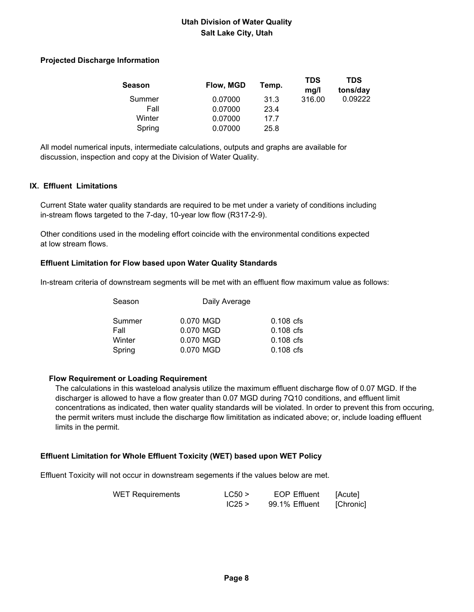#### **Projected Discharge Information**

| Season | Flow, MGD | Temp. | <b>TDS</b><br>mq/l | TDS<br>tons/day |
|--------|-----------|-------|--------------------|-----------------|
| Summer | 0.07000   | 31.3  | 316.00             | 0.09222         |
| Fall   | 0.07000   | 23.4  |                    |                 |
| Winter | 0.07000   | 17.7  |                    |                 |
| Spring | 0.07000   | 25.8  |                    |                 |

 All model numerical inputs, intermediate calculations, outputs and graphs are available for discussion, inspection and copy at the Division of Water Quality.

#### **IX. Effluent Limitations**

 Current State water quality standards are required to be met under a variety of conditions including in-stream flows targeted to the 7-day, 10-year low flow (R317-2-9).

 Other conditions used in the modeling effort coincide with the environmental conditions expected at low stream flows.

#### **Effluent Limitation for Flow based upon Water Quality Standards**

In-stream criteria of downstream segments will be met with an effluent flow maximum value as follows:

| Season |           | Daily Average |  |  |  |
|--------|-----------|---------------|--|--|--|
| Summer | 0.070 MGD | $0.108$ cfs   |  |  |  |
| Fall   | 0.070 MGD | $0.108$ cfs   |  |  |  |
| Winter | 0.070 MGD | $0.108$ cfs   |  |  |  |
| Spring | 0.070 MGD | $0.108$ cfs   |  |  |  |
|        |           |               |  |  |  |

#### **Flow Requirement or Loading Requirement**

 The calculations in this wasteload analysis utilize the maximum effluent discharge flow of 0.07 MGD. If the discharger is allowed to have a flow greater than 0.07 MGD during 7Q10 conditions, and effluent limit concentrations as indicated, then water quality standards will be violated. In order to prevent this from occuring, the permit writers must include the discharge flow limititation as indicated above; or, include loading effluent limits in the permit.

#### **Effluent Limitation for Whole Effluent Toxicity (WET) based upon WET Policy**

Effluent Toxicity will not occur in downstream segements if the values below are met.

| <b>WET Requirements</b> | LC50 > | <b>EOP Effluent</b> | [Acute]   |
|-------------------------|--------|---------------------|-----------|
|                         | IC25 > | 99.1% Effluent      | [Chronic] |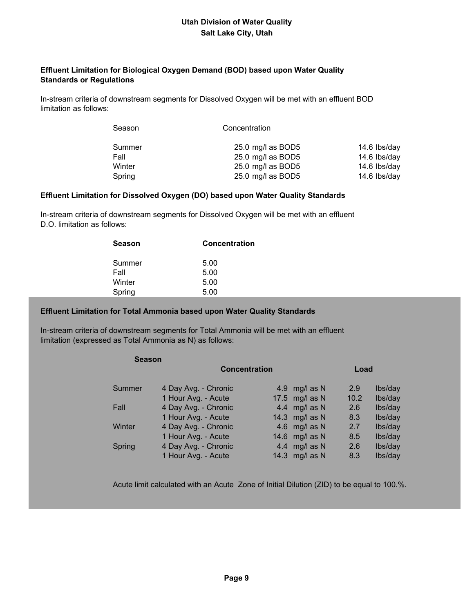#### **Effluent Limitation for Biological Oxygen Demand (BOD) based upon Water Quality Standards or Regulations**

 In-stream criteria of downstream segments for Dissolved Oxygen will be met with an effluent BOD limitation as follows:

| Season | Concentration     |                                  |
|--------|-------------------|----------------------------------|
| Summer | 25.0 mg/l as BOD5 | 14.6 lbs/day                     |
| Fall   | 25.0 mg/l as BOD5 | 14.6 lbs/day                     |
| Winter | 25.0 mg/l as BOD5 | 14.6 $\frac{\text{b}}{\text{d}}$ |
| Spring | 25.0 mg/l as BOD5 | 14.6 lbs/day                     |

#### **Effluent Limitation for Dissolved Oxygen (DO) based upon Water Quality Standards**

 In-stream criteria of downstream segments for Dissolved Oxygen will be met with an effluent D.O. limitation as follows:

| Season | <b>Concentration</b> |
|--------|----------------------|
| Summer | 5.00                 |
| Fall   | 5.00                 |
| Winter | 5.00                 |
| Spring | 5.00                 |

#### **Effluent Limitation for Total Ammonia based upon Water Quality Standards**

 In-stream criteria of downstream segments for Total Ammonia will be met with an effluent limitation (expressed as Total Ammonia as N) as follows:

| <b>Season</b> |                      |  |                |      |         |
|---------------|----------------------|--|----------------|------|---------|
|               | <b>Concentration</b> |  |                |      |         |
| Summer        | 4 Day Avg. - Chronic |  | 4.9 mg/l as N  | 2.9  | lbs/day |
|               | 1 Hour Avg. - Acute  |  | 17.5 mg/l as N | 10.2 | lbs/day |
| Fall          | 4 Day Avg. - Chronic |  | 4.4 mg/l as N  | 2.6  | lbs/day |
|               | 1 Hour Avg. - Acute  |  | 14.3 mg/l as N | 8.3  | lbs/day |
| Winter        | 4 Day Avg. - Chronic |  | 4.6 mg/l as N  | 2.7  | lbs/day |
|               | 1 Hour Avg. - Acute  |  | 14.6 mg/l as N | 8.5  | lbs/day |
| Spring        | 4 Day Avg. - Chronic |  | 4.4 mg/l as N  | 2.6  | lbs/day |
|               | 1 Hour Avg. - Acute  |  | 14.3 mg/l as N | 8.3  | lbs/day |

Acute limit calculated with an Acute Zone of Initial Dilution (ZID) to be equal to 100.%.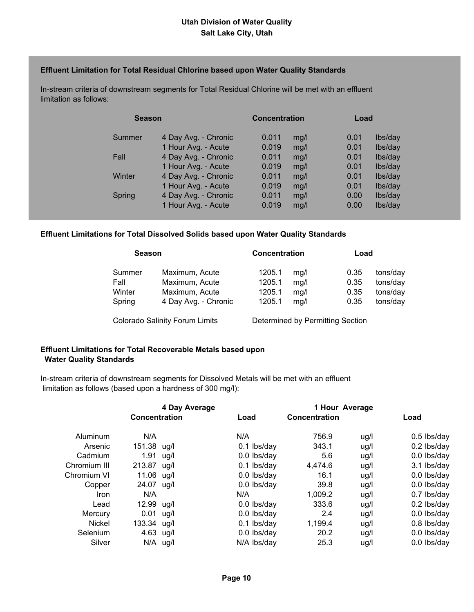#### **Effluent Limitation for Total Residual Chlorine based upon Water Quality Standards**

 In-stream criteria of downstream segments for Total Residual Chlorine will be met with an effluent limitation as follows:

| <b>Season</b> |                      | <b>Concentration</b> |      |      | Load    |  |
|---------------|----------------------|----------------------|------|------|---------|--|
| Summer        | 4 Day Avg. - Chronic | 0.011                | mg/l | 0.01 | lbs/day |  |
|               | 1 Hour Avg. - Acute  | 0.019                | mg/l | 0.01 | lbs/day |  |
| Fall          | 4 Day Avg. - Chronic | 0.011                | mg/l | 0.01 | lbs/day |  |
|               | 1 Hour Avg. - Acute  | 0.019                | mg/l | 0.01 | lbs/day |  |
| Winter        | 4 Day Avg. - Chronic | 0.011                | mg/l | 0.01 | lbs/day |  |
|               | 1 Hour Avg. - Acute  | 0.019                | mg/l | 0.01 | lbs/day |  |
| Spring        | 4 Day Avg. - Chronic | 0.011                | mg/l | 0.00 | lbs/day |  |
|               | 1 Hour Avg. - Acute  | 0.019                | mg/l | 0.00 | lbs/day |  |
|               |                      |                      |      |      |         |  |

#### **Effluent Limitations for Total Dissolved Solids based upon Water Quality Standards**

| <b>Season</b> |                      | <b>Concentration</b> |      | Load |          |
|---------------|----------------------|----------------------|------|------|----------|
| Summer        | Maximum, Acute       | 1205.1               | mq/l | 0.35 | tons/day |
| Fall          | Maximum, Acute       | 1205.1               | mg/l | 0.35 | tons/day |
| Winter        | Maximum, Acute       | 1205.1               | mg/l | 0.35 | tons/day |
| Spring        | 4 Day Avg. - Chronic | 1205.1               | mg/l | 0.35 | tons/day |

Colorado Salinity Forum Limits Determined by Permitting Section

#### **Effluent Limitations for Total Recoverable Metals based upon Water Quality Standards**

 In-stream criteria of downstream segments for Dissolved Metals will be met with an effluent limitation as follows (based upon a hardness of 300 mg/l):

|               |               | 4 Day Average |               |               | 1 Hour Average |               |
|---------------|---------------|---------------|---------------|---------------|----------------|---------------|
|               | Concentration |               | Load          | Concentration |                | Load          |
| Aluminum      | N/A           |               | N/A           | 756.9         | ug/l           | $0.5$ lbs/day |
| Arsenic       | 151.38 ug/l   |               | $0.1$ lbs/day | 343.1         | ug/l           | $0.2$ lbs/day |
| Cadmium       | 1.91          | ug/l          | 0.0 lbs/day   | 5.6           | ug/l           | 0.0 lbs/day   |
| Chromium III  | 213.87 ug/l   |               | $0.1$ lbs/day | 4,474.6       | ug/l           | 3.1 lbs/day   |
| Chromium VI   | 11.06 ug/l    |               | 0.0 lbs/day   | 16.1          | ug/l           | 0.0 lbs/day   |
| Copper        | 24.07 ug/l    |               | $0.0$ lbs/day | 39.8          | ug/l           | $0.0$ lbs/day |
| Iron          | N/A           |               | N/A           | 1,009.2       | ug/l           | 0.7 lbs/day   |
| Lead          | 12.99 ug/l    |               | 0.0 lbs/day   | 333.6         | ug/l           | $0.2$ lbs/day |
| Mercury       | 0.01          | ug/l          | 0.0 lbs/day   | 2.4           | ug/l           | 0.0 lbs/day   |
| <b>Nickel</b> | 133.34 ug/l   |               | $0.1$ lbs/day | 1,199.4       | ug/l           | $0.8$ lbs/day |
| Selenium      | $4.63$ ug/l   |               | 0.0 lbs/day   | 20.2          | ug/l           | 0.0 lbs/day   |
| Silver        |               | $N/A$ ug/l    | N/A lbs/day   | 25.3          | ug/l           | 0.0 lbs/day   |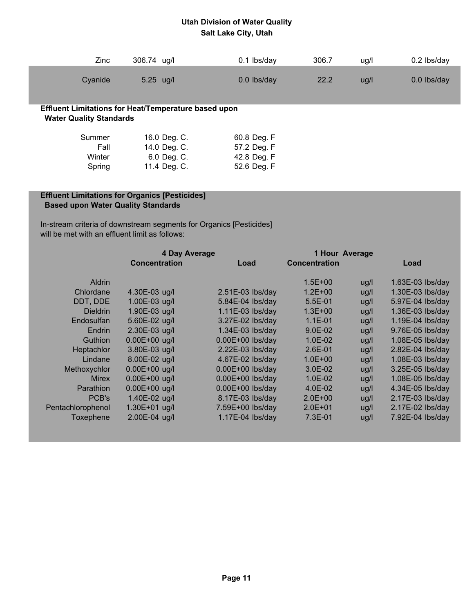| Zinc                           | 306.74 ug/l                                                 | $0.1$ lbs/day | 306.7 | ug/l | $0.2$ lbs/day |
|--------------------------------|-------------------------------------------------------------|---------------|-------|------|---------------|
| Cyanide                        | $5.25$ ug/l                                                 | $0.0$ lbs/day | 22.2  | ug/l | 0.0 lbs/day   |
| <b>Water Quality Standards</b> | <b>Effluent Limitations for Heat/Temperature based upon</b> |               |       |      |               |
| Summer                         | 16.0 Deg. C.                                                | 60.8 Deg. F   |       |      |               |
| Fall                           | 14.0 Deg. C.                                                | 57.2 Deg. F   |       |      |               |
| Winter                         | 6.0 Deg. C.                                                 | 42.8 Deg. F   |       |      |               |
| Spring                         | 11.4 Deg. C.                                                | 52.6 Deg. F   |       |      |               |

### **Effluent Limitations for Organics [Pesticides] Based upon Water Quality Standards**

 In-stream criteria of downstream segments for Organics [Pesticides] will be met with an effluent limit as follows:

|                   | 4 Day Average        |                    | 1 Hour Average       |      |                    |
|-------------------|----------------------|--------------------|----------------------|------|--------------------|
|                   | <b>Concentration</b> | Load               | <b>Concentration</b> |      | Load               |
| <b>Aldrin</b>     |                      |                    | $1.5E + 00$          | ug/l | $1.63E-03$ lbs/day |
| Chlordane         | 4.30E-03 ug/l        | $2.51E-03$ lbs/day | $1.2E + 00$          | ug/l | 1.30E-03 lbs/day   |
| DDT, DDE          | 1.00E-03 ug/l        | 5.84E-04 lbs/day   | 5.5E-01              | ug/l | 5.97E-04 lbs/day   |
| <b>Dieldrin</b>   | 1.90E-03 ug/l        | 1.11E-03 lbs/day   | $1.3E + 00$          | ug/l | 1.36E-03 lbs/day   |
| Endosulfan        | 5.60E-02 ug/l        | 3.27E-02 lbs/day   | $1.1E - 01$          | ug/l | 1.19E-04 lbs/day   |
| <b>Endrin</b>     | 2.30E-03 ug/l        | 1.34E-03 lbs/day   | $9.0E - 02$          | ug/l | 9.76E-05 lbs/day   |
| <b>Guthion</b>    | $0.00E + 00$ ug/l    | $0.00E+00$ lbs/day | $1.0E - 02$          | ug/l | 1.08E-05 lbs/day   |
| Heptachlor        | 3.80E-03 ug/l        | 2.22E-03 lbs/day   | $2.6E - 01$          | ug/l | 2.82E-04 lbs/day   |
| Lindane           | 8.00E-02 ug/l        | 4.67E-02 lbs/day   | $1.0E + 00$          | ug/l | 1.08E-03 lbs/day   |
| Methoxychlor      | $0.00E + 00$ ug/l    | $0.00E+00$ lbs/day | 3.0E-02              | ug/l | 3.25E-05 lbs/day   |
| <b>Mirex</b>      | $0.00E + 00$ ug/l    | $0.00E+00$ lbs/day | $1.0E - 02$          | ug/l | 1.08E-05 lbs/day   |
| Parathion         | $0.00E + 00$ ug/l    | $0.00E+00$ lbs/day | $4.0E - 02$          | ug/l | 4.34E-05 lbs/day   |
| PCB's             | 1.40E-02 ug/l        | 8.17E-03 lbs/day   | $2.0E + 00$          | ug/l | 2.17E-03 lbs/day   |
| Pentachlorophenol | $1.30E + 01$ ug/l    | 7.59E+00 lbs/day   | $2.0E + 01$          | ug/l | 2.17E-02 lbs/day   |
| Toxephene         | 2.00E-04 ug/l        | 1.17E-04 lbs/day   | 7.3E-01              | ug/l | 7.92E-04 lbs/day   |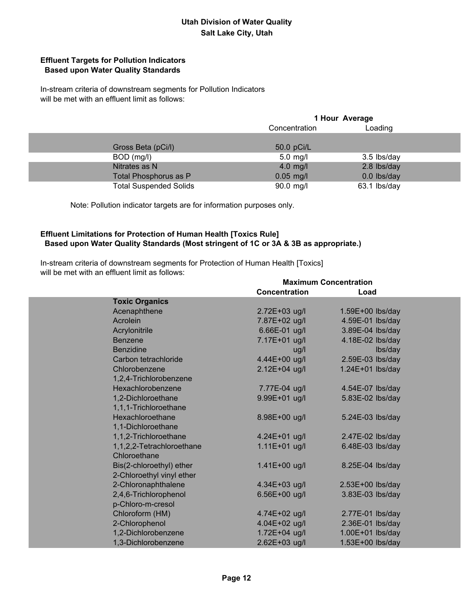### **Effluent Targets for Pollution Indicators Based upon Water Quality Standards**

 In-stream criteria of downstream segments for Pollution Indicators will be met with an effluent limit as follows:

|                               | 1 Hour Average           |              |  |  |
|-------------------------------|--------------------------|--------------|--|--|
|                               | Loading<br>Concentration |              |  |  |
|                               |                          |              |  |  |
| Gross Beta (pCi/l)            | 50.0 pCi/L               |              |  |  |
| BOD (mg/l)                    | $5.0$ mg/l               | 3.5 lbs/day  |  |  |
| Nitrates as N                 | $4.0$ mg/l               | 2.8 lbs/day  |  |  |
| Total Phosphorus as P         | $0.05$ mg/l              | 0.0 lbs/day  |  |  |
| <b>Total Suspended Solids</b> | 90.0 mg/l                | 63.1 lbs/day |  |  |

Note: Pollution indicator targets are for information purposes only.

#### **Effluent Limitations for Protection of Human Health [Toxics Rule] Based upon Water Quality Standards (Most stringent of 1C or 3A & 3B as appropriate.)**

 In-stream criteria of downstream segments for Protection of Human Health [Toxics] will be met with an effluent limit as follows:

|                           | <b>Maximum Concentration</b> |                  |  |  |
|---------------------------|------------------------------|------------------|--|--|
|                           | Concentration                | Load             |  |  |
| <b>Toxic Organics</b>     |                              |                  |  |  |
| Acenaphthene              | 2.72E+03 ug/l                | 1.59E+00 lbs/day |  |  |
| Acrolein                  | 7.87E+02 ug/l                | 4.59E-01 lbs/day |  |  |
| Acrylonitrile             | 6.66E-01 ug/l                | 3.89E-04 lbs/day |  |  |
| <b>Benzene</b>            | 7.17E+01 ug/l                | 4.18E-02 lbs/day |  |  |
| <b>Benzidine</b>          | ug/l                         | lbs/day          |  |  |
| Carbon tetrachloride      | 4.44E+00 ug/l                | 2.59E-03 lbs/day |  |  |
| Chlorobenzene             | 2.12E+04 ug/l                | 1.24E+01 lbs/day |  |  |
| 1,2,4-Trichlorobenzene    |                              |                  |  |  |
| Hexachlorobenzene         | 7.77E-04 ug/l                | 4.54E-07 lbs/day |  |  |
| 1,2-Dichloroethane        | 9.99E+01 ug/l                | 5.83E-02 lbs/day |  |  |
| 1,1,1-Trichloroethane     |                              |                  |  |  |
| Hexachloroethane          | 8.98E+00 ug/l                | 5.24E-03 lbs/day |  |  |
| 1,1-Dichloroethane        |                              |                  |  |  |
| 1,1,2-Trichloroethane     | 4.24E+01 ug/l                | 2.47E-02 lbs/day |  |  |
| 1,1,2,2-Tetrachloroethane | 1.11E+01 ug/l                | 6.48E-03 lbs/day |  |  |
| Chloroethane              |                              |                  |  |  |
| Bis(2-chloroethyl) ether  | 1.41E+00 ug/l                | 8.25E-04 lbs/day |  |  |
| 2-Chloroethyl vinyl ether |                              |                  |  |  |
| 2-Chloronaphthalene       | 4.34E+03 ug/l                | 2.53E+00 lbs/day |  |  |
| 2,4,6-Trichlorophenol     | 6.56E+00 ug/l                | 3.83E-03 lbs/day |  |  |
| p-Chloro-m-cresol         |                              |                  |  |  |
| Chloroform (HM)           | 4.74E+02 ug/l                | 2.77E-01 lbs/day |  |  |
| 2-Chlorophenol            | 4.04E+02 ug/l                | 2.36E-01 lbs/day |  |  |
| 1,2-Dichlorobenzene       | 1.72E+04 ug/l                | 1.00E+01 lbs/day |  |  |
| 1,3-Dichlorobenzene       | 2.62E+03 ug/l                | 1.53E+00 lbs/day |  |  |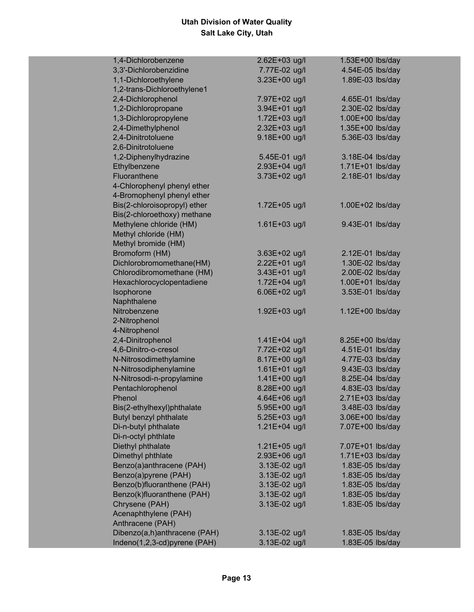| 1,4-Dichlorobenzene                    | 2.62E+03 ug/l | 1.53E+00 lbs/day |
|----------------------------------------|---------------|------------------|
| 3,3'-Dichlorobenzidine                 | 7.77E-02 ug/l | 4.54E-05 lbs/day |
| 1,1-Dichloroethylene                   | 3.23E+00 ug/l | 1.89E-03 lbs/day |
| 1,2-trans-Dichloroethylene1            |               |                  |
| 2,4-Dichlorophenol                     | 7.97E+02 ug/l | 4.65E-01 lbs/day |
| 1,2-Dichloropropane                    | 3.94E+01 ug/l | 2.30E-02 lbs/day |
| 1,3-Dichloropropylene                  | 1.72E+03 ug/l | 1.00E+00 lbs/day |
| 2,4-Dimethylphenol                     | 2.32E+03 ug/l | 1.35E+00 lbs/day |
| 2,4-Dinitrotoluene                     | 9.18E+00 ug/l | 5.36E-03 lbs/day |
| 2,6-Dinitrotoluene                     |               |                  |
| 1,2-Diphenylhydrazine                  | 5.45E-01 ug/l | 3.18E-04 lbs/day |
| Ethylbenzene                           | 2.93E+04 ug/l | 1.71E+01 lbs/day |
| Fluoranthene                           | 3.73E+02 ug/l | 2.18E-01 lbs/day |
| 4-Chlorophenyl phenyl ether            |               |                  |
| 4-Bromophenyl phenyl ether             |               |                  |
| Bis(2-chloroisopropyl) ether           | 1.72E+05 ug/l | 1.00E+02 lbs/day |
| Bis(2-chloroethoxy) methane            |               |                  |
| Methylene chloride (HM)                | 1.61E+03 ug/l | 9.43E-01 lbs/day |
| Methyl chloride (HM)                   |               |                  |
| Methyl bromide (HM)                    |               |                  |
| Bromoform (HM)                         | 3.63E+02 ug/l | 2.12E-01 lbs/day |
| Dichlorobromomethane(HM)               | 2.22E+01 ug/l | 1.30E-02 lbs/day |
| Chlorodibromomethane (HM)              | 3.43E+01 ug/l | 2.00E-02 lbs/day |
| Hexachlorocyclopentadiene              | 1.72E+04 ug/l | 1.00E+01 lbs/day |
| Isophorone                             | 6.06E+02 ug/l | 3.53E-01 lbs/day |
| Naphthalene                            |               |                  |
| Nitrobenzene                           | 1.92E+03 ug/l | 1.12E+00 lbs/day |
| 2-Nitrophenol                          |               |                  |
| 4-Nitrophenol                          |               |                  |
| 2,4-Dinitrophenol                      | 1.41E+04 ug/l | 8.25E+00 lbs/day |
| 4,6-Dinitro-o-cresol                   | 7.72E+02 ug/l | 4.51E-01 lbs/day |
| N-Nitrosodimethylamine                 | 8.17E+00 ug/l | 4.77E-03 lbs/day |
| N-Nitrosodiphenylamine                 | 1.61E+01 ug/l | 9.43E-03 lbs/day |
| N-Nitrosodi-n-propylamine              | 1.41E+00 ug/l | 8.25E-04 lbs/day |
| Pentachlorophenol                      | 8.28E+00 ug/l | 4.83E-03 lbs/day |
| Phenol                                 | 4.64E+06 ug/l | 2.71E+03 lbs/day |
| Bis(2-ethylhexyl)phthalate             | 5.95E+00 ug/l | 3.48E-03 lbs/day |
| Butyl benzyl phthalate                 | 5.25E+03 ug/l | 3.06E+00 lbs/day |
| Di-n-butyl phthalate                   | 1.21E+04 ug/l | 7.07E+00 lbs/day |
| Di-n-octyl phthlate                    |               |                  |
| Diethyl phthalate                      | 1.21E+05 ug/l | 7.07E+01 lbs/day |
| Dimethyl phthlate                      | 2.93E+06 ug/l | 1.71E+03 lbs/day |
| Benzo(a)anthracene (PAH)               | 3.13E-02 ug/l | 1.83E-05 lbs/day |
| Benzo(a)pyrene (PAH)                   | 3.13E-02 ug/l | 1.83E-05 lbs/day |
| Benzo(b)fluoranthene (PAH)             | 3.13E-02 ug/l | 1.83E-05 lbs/day |
| Benzo(k)fluoranthene (PAH)             |               |                  |
|                                        | 3.13E-02 ug/l | 1.83E-05 lbs/day |
| Chrysene (PAH)<br>Acenaphthylene (PAH) | 3.13E-02 ug/l | 1.83E-05 lbs/day |
|                                        |               |                  |
| Anthracene (PAH)                       |               |                  |
| Dibenzo(a,h)anthracene (PAH)           | 3.13E-02 ug/l | 1.83E-05 lbs/day |
| Indeno(1,2,3-cd)pyrene (PAH)           | 3.13E-02 ug/l | 1.83E-05 lbs/day |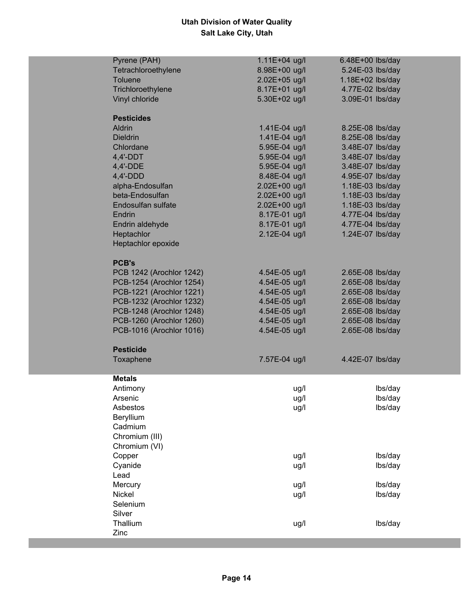| Pyrene (PAH)<br>1.11E+04 ug/l<br>6.48E+00 lbs/day             |         |
|---------------------------------------------------------------|---------|
| Tetrachloroethylene<br>8.98E+00 ug/l<br>5.24E-03 lbs/day      |         |
| 2.02E+05 ug/l<br><b>Toluene</b><br>1.18E+02 lbs/day           |         |
| 8.17E+01 ug/l<br>4.77E-02 lbs/day<br>Trichloroethylene        |         |
| 5.30E+02 ug/l<br>3.09E-01 lbs/day<br>Vinyl chloride           |         |
|                                                               |         |
| <b>Pesticides</b>                                             |         |
| Aldrin<br>1.41E-04 ug/l<br>8.25E-08 lbs/day                   |         |
| 1.41E-04 ug/l<br>8.25E-08 lbs/day<br><b>Dieldrin</b>          |         |
| 5.95E-04 ug/l<br>3.48E-07 lbs/day<br>Chlordane                |         |
| 5.95E-04 ug/l<br>$4,4'-DDT$<br>3.48E-07 lbs/day               |         |
| 4,4'-DDE<br>5.95E-04 ug/l<br>3.48E-07 lbs/day                 |         |
| 4,4'-DDD<br>8.48E-04 ug/l<br>4.95E-07 lbs/day                 |         |
| alpha-Endosulfan<br>2.02E+00 ug/l<br>1.18E-03 lbs/day         |         |
| beta-Endosulfan<br>2.02E+00 ug/l<br>1.18E-03 lbs/day          |         |
| Endosulfan sulfate<br>2.02E+00 ug/l<br>1.18E-03 lbs/day       |         |
| 8.17E-01 ug/l<br>4.77E-04 lbs/day<br>Endrin                   |         |
| 8.17E-01 ug/l<br>4.77E-04 lbs/day<br>Endrin aldehyde          |         |
| Heptachlor<br>2.12E-04 ug/l<br>1.24E-07 lbs/day               |         |
| Heptachlor epoxide                                            |         |
|                                                               |         |
| <b>PCB's</b>                                                  |         |
| PCB 1242 (Arochlor 1242)<br>4.54E-05 ug/l<br>2.65E-08 lbs/day |         |
| PCB-1254 (Arochlor 1254)<br>4.54E-05 ug/l<br>2.65E-08 lbs/day |         |
| PCB-1221 (Arochlor 1221)<br>4.54E-05 ug/l<br>2.65E-08 lbs/day |         |
| PCB-1232 (Arochlor 1232)<br>4.54E-05 ug/l<br>2.65E-08 lbs/day |         |
| PCB-1248 (Arochlor 1248)<br>4.54E-05 ug/l<br>2.65E-08 lbs/day |         |
| PCB-1260 (Arochlor 1260)<br>4.54E-05 ug/l<br>2.65E-08 lbs/day |         |
| PCB-1016 (Arochlor 1016)<br>4.54E-05 ug/l<br>2.65E-08 lbs/day |         |
|                                                               |         |
| <b>Pesticide</b>                                              |         |
| Toxaphene<br>7.57E-04 ug/l<br>4.42E-07 lbs/day                |         |
|                                                               |         |
| <b>Metals</b>                                                 |         |
| Antimony<br>ug/l                                              | lbs/day |
| Arsenic<br>ug/l                                               | lbs/day |
| Asbestos<br>ug/l                                              | lbs/day |
| Beryllium                                                     |         |
| Cadmium                                                       |         |
| Chromium (III)                                                |         |
| Chromium (VI)                                                 |         |
| Copper<br>ug/l                                                | lbs/day |
| Cyanide<br>ug/l                                               | lbs/day |
| Lead                                                          |         |
| Mercury<br>ug/l                                               | lbs/day |
| Nickel<br>ug/l                                                | lbs/day |
| Selenium                                                      |         |
| Silver                                                        |         |
| Thallium<br>ug/l                                              | lbs/day |
| Zinc                                                          |         |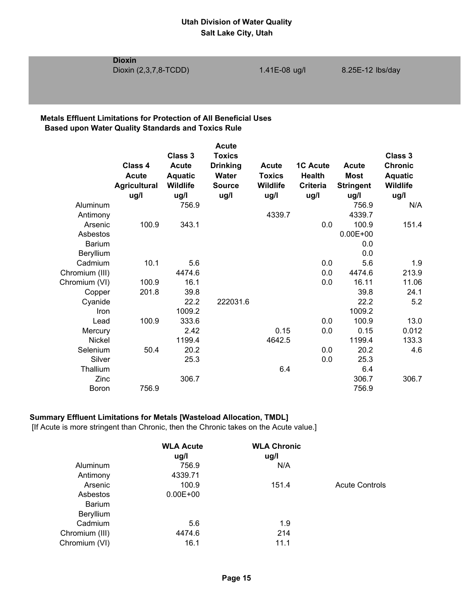**Dioxin**

#### **Metals Effluent Limitations for Protection of All Beneficial Uses Based upon Water Quality Standards and Toxics Rule**

|                  |                             |                         | <b>Acute</b>          |                         |                         |                          |                         |
|------------------|-----------------------------|-------------------------|-----------------------|-------------------------|-------------------------|--------------------------|-------------------------|
|                  |                             | Class 3                 | <b>Toxics</b>         |                         |                         |                          | Class 3                 |
|                  | Class 4                     | <b>Acute</b>            | <b>Drinking</b>       | <b>Acute</b>            | <b>1C Acute</b>         | Acute                    | <b>Chronic</b>          |
|                  | <b>Acute</b>                | <b>Aquatic</b>          | Water                 | <b>Toxics</b>           | <b>Health</b>           | Most                     | <b>Aquatic</b>          |
|                  | <b>Agricultural</b><br>ug/l | <b>Wildlife</b><br>ug/l | <b>Source</b><br>ug/l | <b>Wildlife</b><br>ug/l | <b>Criteria</b><br>ug/l | <b>Stringent</b><br>ug/l | <b>Wildlife</b><br>ug/l |
| Aluminum         |                             | 756.9                   |                       |                         |                         | 756.9                    | N/A                     |
| Antimony         |                             |                         |                       | 4339.7                  |                         | 4339.7                   |                         |
| Arsenic          | 100.9                       | 343.1                   |                       |                         | 0.0                     | 100.9                    | 151.4                   |
| Asbestos         |                             |                         |                       |                         |                         | $0.00E + 00$             |                         |
| <b>Barium</b>    |                             |                         |                       |                         |                         | 0.0                      |                         |
| <b>Beryllium</b> |                             |                         |                       |                         |                         | 0.0                      |                         |
| Cadmium          | 10.1                        | 5.6                     |                       |                         | 0.0                     | 5.6                      | 1.9                     |
| Chromium (III)   |                             | 4474.6                  |                       |                         | 0.0                     | 4474.6                   | 213.9                   |
| Chromium (VI)    | 100.9                       | 16.1                    |                       |                         | 0.0                     | 16.11                    | 11.06                   |
| Copper           | 201.8                       | 39.8                    |                       |                         |                         | 39.8                     | 24.1                    |
| Cyanide          |                             | 22.2                    | 222031.6              |                         |                         | 22.2                     | 5.2                     |
| Iron             |                             | 1009.2                  |                       |                         |                         | 1009.2                   |                         |
| Lead             | 100.9                       | 333.6                   |                       |                         | 0.0                     | 100.9                    | 13.0                    |
| Mercury          |                             | 2.42                    |                       | 0.15                    | 0.0                     | 0.15                     | 0.012                   |
| <b>Nickel</b>    |                             | 1199.4                  |                       | 4642.5                  |                         | 1199.4                   | 133.3                   |
| Selenium         | 50.4                        | 20.2                    |                       |                         | 0.0                     | 20.2                     | 4.6                     |
| Silver           |                             | 25.3                    |                       |                         | 0.0                     | 25.3                     |                         |
| Thallium         |                             |                         |                       | 6.4                     |                         | 6.4                      |                         |
| Zinc             |                             | 306.7                   |                       |                         |                         | 306.7                    | 306.7                   |
| <b>Boron</b>     | 756.9                       |                         |                       |                         |                         | 756.9                    |                         |
|                  |                             |                         |                       |                         |                         |                          |                         |

# **Summary Effluent Limitations for Metals [Wasteload Allocation, TMDL]**

[If Acute is more stringent than Chronic, then the Chronic takes on the Acute value.]

|                  | <b>WLA Acute</b><br>ug/l | <b>WLA Chronic</b><br>ug/l |                       |
|------------------|--------------------------|----------------------------|-----------------------|
| Aluminum         | 756.9                    | N/A                        |                       |
| Antimony         | 4339.71                  |                            |                       |
| Arsenic          | 100.9                    | 151.4                      | <b>Acute Controls</b> |
| Asbestos         | $0.00E + 00$             |                            |                       |
| <b>Barium</b>    |                          |                            |                       |
| <b>Beryllium</b> |                          |                            |                       |
| Cadmium          | 5.6                      | 1.9                        |                       |
| Chromium (III)   | 4474.6                   | 214                        |                       |
| Chromium (VI)    | 16.1                     | 11.1                       |                       |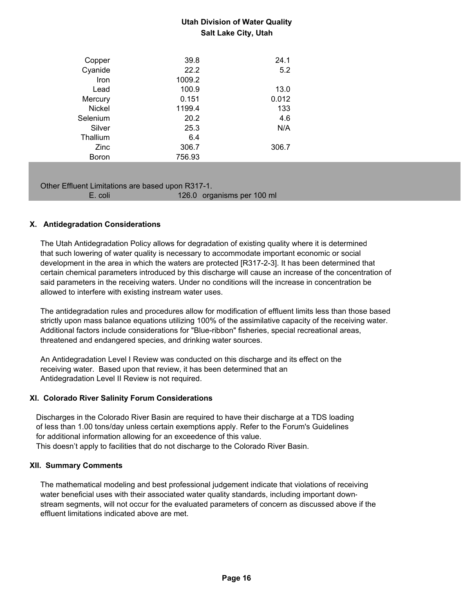| Copper        | 39.8   | 24.1  |
|---------------|--------|-------|
| Cyanide       | 22.2   | 5.2   |
| Iron          | 1009.2 |       |
| Lead          | 100.9  | 13.0  |
| Mercury       | 0.151  | 0.012 |
| <b>Nickel</b> | 1199.4 | 133   |
| Selenium      | 20.2   | 4.6   |
| Silver        | 25.3   | N/A   |
| Thallium      | 6.4    |       |
| Zinc          | 306.7  | 306.7 |
| Boron         | 756.93 |       |
|               |        |       |

Other Effluent Limitations are based upon R317-1.

| E. coli | 126.0 organisms per 100 ml |
|---------|----------------------------|
|         |                            |

### **X. Antidegradation Considerations**

 The Utah Antidegradation Policy allows for degradation of existing quality where it is determined that such lowering of water quality is necessary to accommodate important economic or social development in the area in which the waters are protected [R317-2-3]. It has been determined that certain chemical parameters introduced by this discharge will cause an increase of the concentration of said parameters in the receiving waters. Under no conditions will the increase in concentration be allowed to interfere with existing instream water uses.

 The antidegradation rules and procedures allow for modification of effluent limits less than those based strictly upon mass balance equations utilizing 100% of the assimilative capacity of the receiving water. Additional factors include considerations for "Blue-ribbon" fisheries, special recreational areas, threatened and endangered species, and drinking water sources.

 An Antidegradation Level I Review was conducted on this discharge and its effect on the receiving water. Based upon that review, it has been determined that an Antidegradation Level II Review is not required.

### **XI. Colorado River Salinity Forum Considerations**

 Discharges in the Colorado River Basin are required to have their discharge at a TDS loading of less than 1.00 tons/day unless certain exemptions apply. Refer to the Forum's Guidelines for additional information allowing for an exceedence of this value. This doesn't apply to facilities that do not discharge to the Colorado River Basin.

### **XII. Summary Comments**

 The mathematical modeling and best professional judgement indicate that violations of receiving water beneficial uses with their associated water quality standards, including important down stream segments, will not occur for the evaluated parameters of concern as discussed above if the effluent limitations indicated above are met.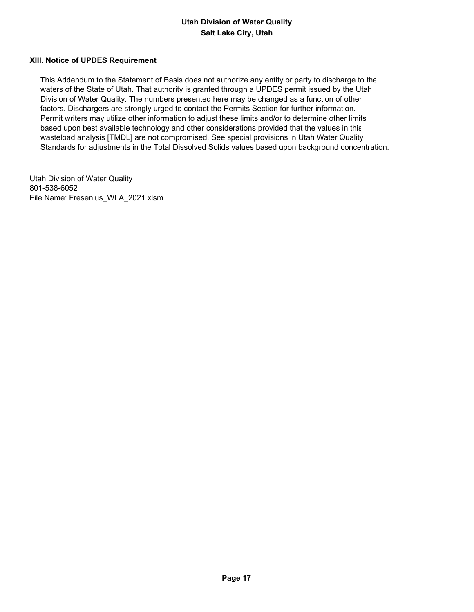#### **XIII. Notice of UPDES Requirement**

 This Addendum to the Statement of Basis does not authorize any entity or party to discharge to the waters of the State of Utah. That authority is granted through a UPDES permit issued by the Utah Division of Water Quality. The numbers presented here may be changed as a function of other factors. Dischargers are strongly urged to contact the Permits Section for further information. Permit writers may utilize other information to adjust these limits and/or to determine other limits based upon best available technology and other considerations provided that the values in this wasteload analysis [TMDL] are not compromised. See special provisions in Utah Water Quality Standards for adjustments in the Total Dissolved Solids values based upon background concentration.

Utah Division of Water Quality 801-538-6052 File Name: Fresenius\_WLA\_2021.xlsm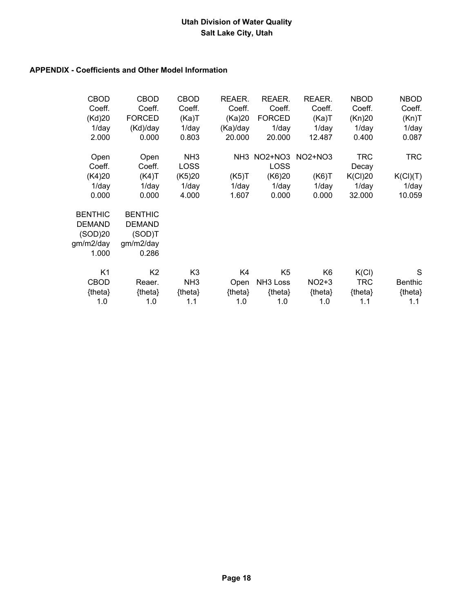### **APPENDIX - Coefficients and Other Model Information**

| <b>CBOD</b><br>Coeff. | <b>CBOD</b><br>Coeff. | <b>CBOD</b><br>Coeff. | REAER.<br>Coeff. | REAER.<br>Coeff.     | REAER.<br>Coeff. | <b>NBOD</b><br>Coeff. | <b>NBOD</b><br>Coeff. |
|-----------------------|-----------------------|-----------------------|------------------|----------------------|------------------|-----------------------|-----------------------|
| (Kd)20                | <b>FORCED</b>         | (Ka)T                 | (Ka)20           | <b>FORCED</b>        | (Ka)T            | (Kn)20                | (Kn)T                 |
| $1$ /day              | (Kd)/day              | $1$ /day              | (Ka)/day         | $1$ /day             | $1$ /day         | $1$ /day              | $1$ /day              |
| 2.000                 | 0.000                 | 0.803                 | 20.000           | 20.000               | 12.487           | 0.400                 | 0.087                 |
| Open                  | Open                  | NH <sub>3</sub>       |                  | NH3 NO2+NO3          | NO2+NO3          | <b>TRC</b>            | TRC                   |
| Coeff.                | Coeff.                | <b>LOSS</b>           |                  | <b>LOSS</b>          |                  | Decay                 |                       |
| (K4)20                | (K4)T                 | (K5)20                | (K5)T            | (K6)20               | (K6)T            | K(Cl)20               | K(Cl)(T)              |
| $1$ /day              | $1$ /day              | 1/day                 | $1$ /day         | $1$ /day             | $1$ /day         | $1$ /day              | $1$ /day              |
| 0.000                 | 0.000                 | 4.000                 | 1.607            | 0.000                | 0.000            | 32.000                | 10.059                |
| <b>BENTHIC</b>        | <b>BENTHIC</b>        |                       |                  |                      |                  |                       |                       |
| <b>DEMAND</b>         | <b>DEMAND</b>         |                       |                  |                      |                  |                       |                       |
| (SOD)20               | (SOD)T                |                       |                  |                      |                  |                       |                       |
| gm/m2/day             | gm/m2/day             |                       |                  |                      |                  |                       |                       |
| 1.000                 | 0.286                 |                       |                  |                      |                  |                       |                       |
| K <sub>1</sub>        | K <sub>2</sub>        | K <sub>3</sub>        | K4               | K <sub>5</sub>       | K <sub>6</sub>   | K(Cl)                 | S                     |
| <b>CBOD</b>           | Reaer.                | NH <sub>3</sub>       | Open             | NH <sub>3</sub> Loss | $NO2+3$          | <b>TRC</b>            | <b>Benthic</b>        |
| {theta}               | {theta}               | ${theta}$             | {theta}          | ${theta}$            | ${theta}$        | {theta}               | {theta}               |
| 1.0                   | 1.0                   | 1.1                   | 1.0              | 1.0                  | 1.0              | 1.1                   | 1.1                   |